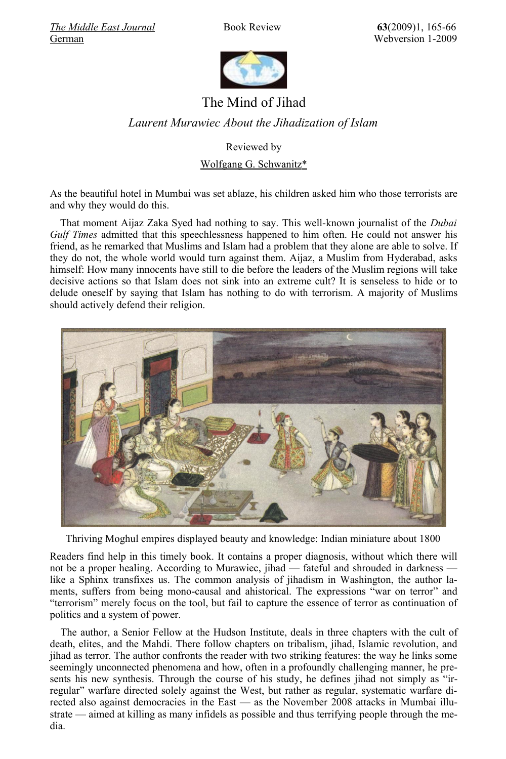*[The Middle East Journal](http://www.mideasti.org/programs/programs_journal.html)* Book Review **63**(2009)1, 165-66 [German](http://www.sehepunkte.de/2009/01/15497.html) Webversion 1-2009



## The Mind of Jihad *Laurent Murawiec About the Jihadization of Islam*

Reviewed by

Wolfgang G. Schwanitz\*

As the beautiful hotel in Mumbai was set ablaze, his children asked him who those terrorists are and why they would do this.

That moment Aijaz Zaka Syed had nothing to say. This well-known journalist of the *Dubai Gulf Times* admitted that this speechlessness happened to him often. He could not answer his friend, as he remarked that Muslims and Islam had a problem that they alone are able to solve. If they do not, the whole world would turn against them. Aijaz, a Muslim from Hyderabad, asks himself: How many innocents have still to die before the leaders of the Muslim regions will take decisive actions so that Islam does not sink into an extreme cult? It is senseless to hide or to delude oneself by saying that Islam has nothing to do with terrorism. A majority of Muslims should actively defend their religion.



Thriving Moghul empires displayed beauty and knowledge: Indian miniature about 1800

Readers find help in this timely book. It contains a proper diagnosis, without which there will not be a proper healing. According to Murawiec, jihad — fateful and shrouded in darkness like a Sphinx transfixes us. The common analysis of jihadism in Washington, the author laments, suffers from being mono-causal and ahistorical. The expressions "war on terror" and "terrorism" merely focus on the tool, but fail to capture the essence of terror as continuation of politics and a system of power.

The author, a Senior Fellow at the Hudson Institute, deals in three chapters with the cult of death, elites, and the Mahdi. There follow chapters on tribalism, jihad, Islamic revolution, and jihad as terror. The author confronts the reader with two striking features: the way he links some seemingly unconnected phenomena and how, often in a profoundly challenging manner, he presents his new synthesis. Through the course of his study, he defines jihad not simply as "irregular" warfare directed solely against the West, but rather as regular, systematic warfare directed also against democracies in the East — as the November 2008 attacks in Mumbai illustrate — aimed at killing as many infidels as possible and thus terrifying people through the media.